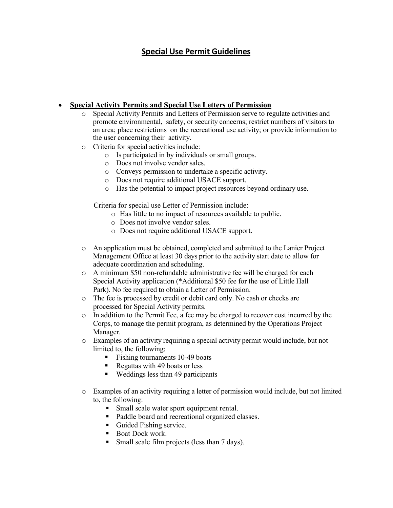## **Special Use Permit Guidelines**

## • **Special Activity Permits and Special Use Letters of Permission**

- o Special Activity Permits and Letters of Permission serve to regulate activities and promote environmental, safety, or security concerns; restrict numbers of visitors to an area; place restrictions on the recreational use activity; or provide information to the user concerning their activity.
- o Criteria for special activities include:
	- o Is participated in by individuals or small groups.
	- o Does not involve vendor sales.
	- o Conveys permission to undertake a specific activity.
	- o Does not require additional USACE support.
	- o Has the potential to impact project resources beyond ordinary use.

Criteria for special use Letter of Permission include:

- o Has little to no impact of resources available to public.
- o Does not involve vendor sales.
- o Does not require additional USACE support.
- o An application must be obtained, completed and submitted to the Lanier Project Management Office at least 30 days prior to the activity start date to allow for adequate coordination and scheduling.
- o A minimum \$50 non-refundable administrative fee will be charged for each Special Activity application (\*Additional \$50 fee for the use of Little Hall Park). No fee required to obtain a Letter of Permission.
- o The fee is processed by credit or debit card only. No cash or checks are processed for Special Activity permits.
- o In addition to the Permit Fee, a fee may be charged to recover cost incurred by the Corps, to manage the permit program, as determined by the Operations Project Manager.
- o Examples of an activity requiring a special activity permit would include, but not limited to, the following:
	- Fishing tournaments 10-49 boats
	- Regattas with 49 boats or less
	- $\blacksquare$  Weddings less than 49 participants
- o Examples of an activity requiring a letter of permission would include, but not limited to, the following:
	- Small scale water sport equipment rental.
	- Paddle board and recreational organized classes.
	- Guided Fishing service.
	- Boat Dock work.
	- Small scale film projects (less than 7 days).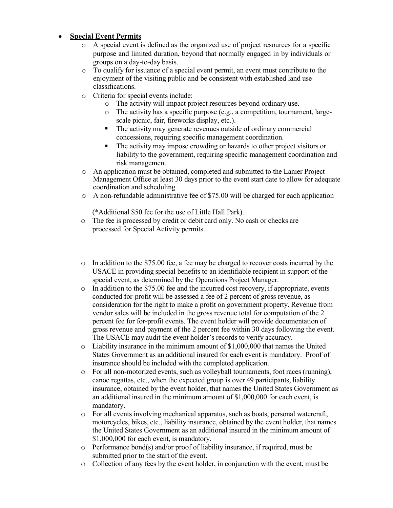## • **Special Event Permits**

- o A special event is defined as the organized use of project resources for a specific purpose and limited duration, beyond that normally engaged in by individuals or groups on a day-to-day basis.
- o To qualify for issuance of a special event permit, an event must contribute to the enjoyment of the visiting public and be consistent with established land use classifications.
- o Criteria for special events include:
	- o The activity will impact project resources beyond ordinary use.
	- o The activity has a specific purpose (e.g., a competition, tournament, largescale picnic, fair, fireworks display, etc.).
	- The activity may generate revenues outside of ordinary commercial concessions, requiring specific management coordination.
	- The activity may impose crowding or hazards to other project visitors or liability to the government, requiring specific management coordination and risk management.
- o An application must be obtained, completed and submitted to the Lanier Project Management Office at least 30 days prior to the event start date to allow for adequate coordination and scheduling.
- o A non-refundable administrative fee of \$75.00 will be charged for each application

(\*Additional \$50 fee for the use of Little Hall Park).

- o The fee is processed by credit or debit card only. No cash or checks are processed for Special Activity permits.
- $\circ$  In addition to the \$75.00 fee, a fee may be charged to recover costs incurred by the USACE in providing special benefits to an identifiable recipient in support of the special event, as determined by the Operations Project Manager.
- $\circ$  In addition to the \$75.00 fee and the incurred cost recovery, if appropriate, events conducted for-profit will be assessed a fee of 2 percent of gross revenue, as consideration for the right to make a profit on government property. Revenue from vendor sales will be included in the gross revenue total for computation of the 2 percent fee for for-profit events. The event holder will provide documentation of gross revenue and payment of the 2 percent fee within 30 days following the event. The USACE may audit the event holder's records to verify accuracy.
- o Liability insurance in the minimum amount of \$1,000,000 that names the United States Government as an additional insured for each event is mandatory. Proof of insurance should be included with the completed application.
- o For all non-motorized events, such as volleyball tournaments, foot races (running), canoe regattas, etc., when the expected group is over 49 participants, liability insurance, obtained by the event holder, that names the United States Government as an additional insured in the minimum amount of \$1,000,000 for each event, is mandatory.
- o For all events involving mechanical apparatus, such as boats, personal watercraft, motorcycles, bikes, etc., liability insurance, obtained by the event holder, that names the United States Government as an additional insured in the minimum amount of \$1,000,000 for each event, is mandatory.
- o Performance bond(s) and/or proof of liability insurance, if required, must be submitted prior to the start of the event.
- o Collection of any fees by the event holder, in conjunction with the event, must be